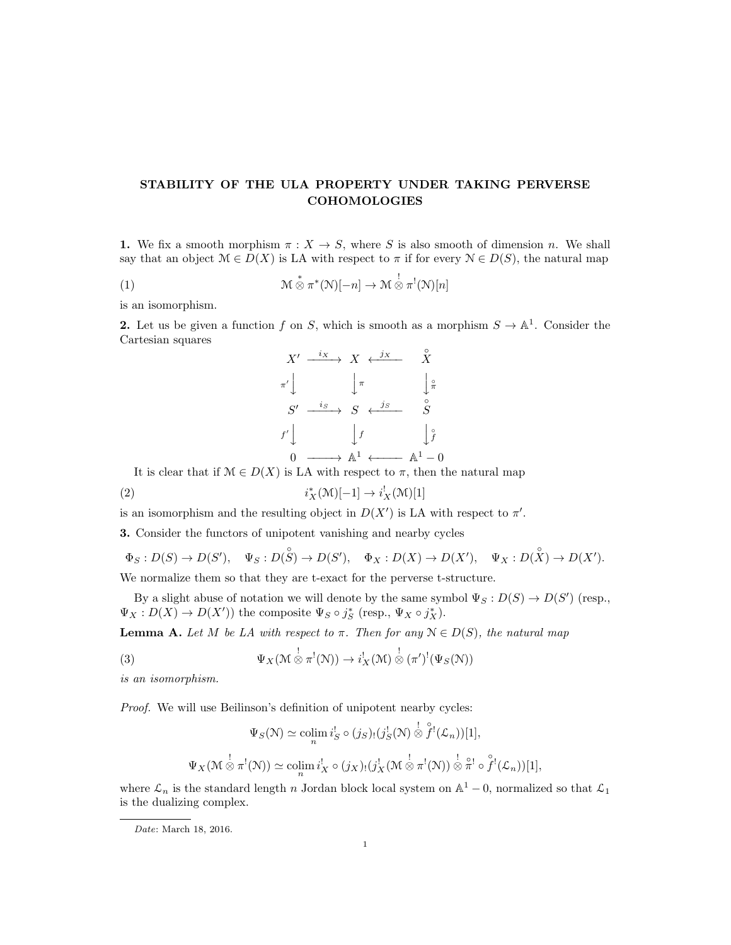## STABILITY OF THE ULA PROPERTY UNDER TAKING PERVERSE COHOMOLOGIES

1. We fix a smooth morphism  $\pi : X \to S$ , where S is also smooth of dimension n. We shall say that an object  $\mathcal{M} \in D(X)$  is LA with respect to  $\pi$  if for every  $\mathcal{N} \in D(S)$ , the natural map

(1) 
$$
\mathcal{M} \overset{*}{\otimes} \pi^*(N)[-n] \to \mathcal{M} \overset{!}{\otimes} \pi^!(N)[n]
$$

is an isomorphism.

**2.** Let us be given a function f on S, which is smooth as a morphism  $S \to \mathbb{A}^1$ . Consider the Cartesian squares

$$
X' \xrightarrow{i_X} X \xleftarrow{j_X} \qquad \overset{\circ}{X}
$$
  
\n
$$
\pi' \downarrow \qquad \qquad \downarrow \pi \qquad \qquad \downarrow \pi
$$
  
\n
$$
S' \xrightarrow{i_S} S \xleftarrow{j_S} \qquad \overset{\circ}{S}
$$
  
\n
$$
f' \downarrow \qquad \qquad \downarrow f \qquad \qquad \downarrow \overset{\circ}{f}
$$
  
\n
$$
0 \xrightarrow{\qquad \qquad } \mathbb{A}^1 \xleftarrow{\qquad \qquad } \mathbb{A}^1 - 0
$$

It is clear that if  $\mathcal{M} \in D(X)$  is LA with respect to  $\pi$ , then the natural map

 $(i)$  i  $X^*(\mathcal{M})[-1] \to i_X^!(\mathcal{M})[1]$ 

is an isomorphism and the resulting object in  $D(X')$  is LA with respect to  $\pi'$ .

3. Consider the functors of unipotent vanishing and nearby cycles

$$
\Phi_S: D(S) \to D(S'), \quad \Psi_S: D(S') \to D(S'), \quad \Phi_X: D(X) \to D(X'), \quad \Psi_X: D(X') \to D(X').
$$

We normalize them so that they are t-exact for the perverse t-structure.

By a slight abuse of notation we will denote by the same symbol  $\Psi_S: D(S) \to D(S')$  (resp.,  $\Psi_X: D(X) \to D(X')$  the composite  $\Psi_S \circ j_S^*$  (resp.,  $\Psi_X \circ j_X^*$ ).

**Lemma A.** Let M be LA with respect to  $\pi$ . Then for any  $\mathcal{N} \in D(S)$ , the natural map

(3) 
$$
\Psi_X(\mathcal{M} \overset{!}{\otimes} \pi^!(\mathcal{N})) \to i_X^!(\mathcal{M}) \overset{!}{\otimes} (\pi')^!(\Psi_S(\mathcal{N}))
$$

is an isomorphism.

Proof. We will use Beilinson's definition of unipotent nearby cycles:

$$
\Psi_S(\mathcal{N}) \simeq \operatorname{colim}_n i_S^! \circ (j_S)_! (j_S^! (\mathcal{N}) \overset{\mathbf{1}}{\otimes} \overset{\circ}{f}^! (\mathcal{L}_n))[1],
$$
  

$$
\Psi_X(\mathcal{M} \overset{\mathbf{1}}{\otimes} \pi^!(\mathcal{N})) \simeq \operatorname{colim}_n i_X^! \circ (j_X)_! (j_X^! (\mathcal{M} \overset{\mathbf{1}}{\otimes} \pi^!(\mathcal{N})) \overset{\mathbf{1}}{\otimes} \overset{\circ}{\pi}^! \circ \overset{\circ}{f}^! (\mathcal{L}_n))[1],
$$

where  $\mathcal{L}_n$  is the standard length n Jordan block local system on  $\mathbb{A}^1$  – 0, normalized so that  $\mathcal{L}_1$ is the dualizing complex.

Date: March 18, 2016.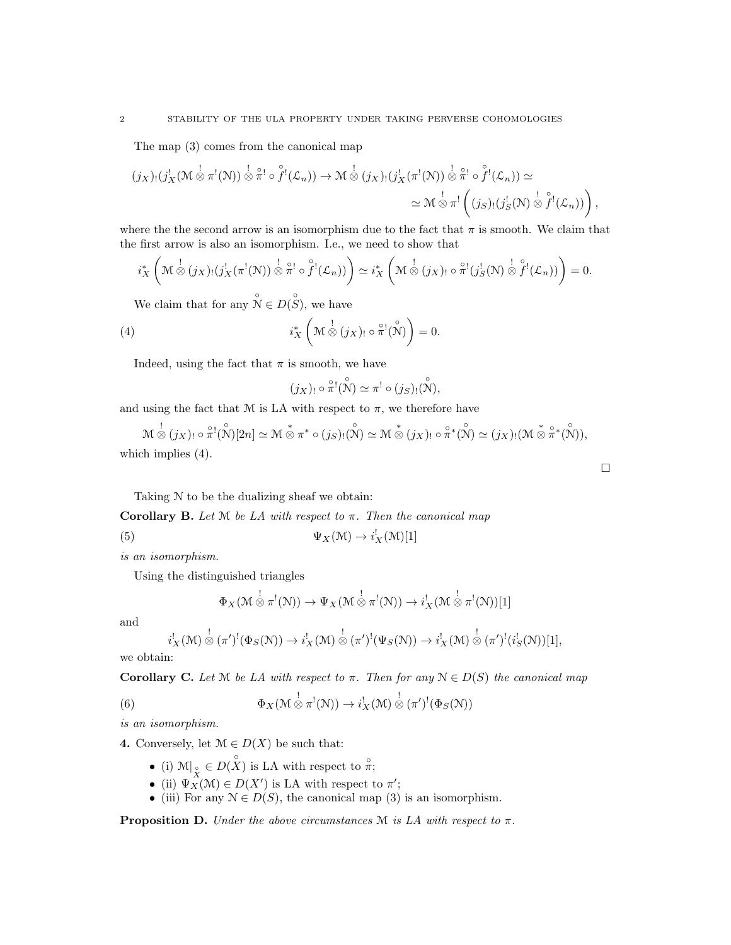The map (3) comes from the canonical map

$$
(j_X)_!(j_X^!(\mathcal{M} \overset{!}{\otimes} \pi^!(\mathcal{N})) \overset{!}{\otimes} \overset{\circ}{\pi}^! \circ \overset{\circ}{f}^!(\mathcal{L}_n)) \to \mathcal{M} \overset{!}{\otimes} (j_X)_!(j_X^!(\pi^!(\mathcal{N})) \overset{!}{\otimes} \overset{\circ}{\pi}^! \circ \overset{\circ}{f}^!(\mathcal{L}_n)) \simeq
$$
  

$$
\simeq \mathcal{M} \overset{!}{\otimes} \pi^! \left( (j_S)_!(j_S^!(\mathcal{N}) \overset{!}{\otimes} \overset{\circ}{f}^!(\mathcal{L}_n)) \right),
$$

where the the second arrow is an isomorphism due to the fact that  $\pi$  is smooth. We claim that the first arrow is also an isomorphism. I.e., we need to show that

$$
i_X^* \left( \mathcal{M} \overset{!}{\otimes} (j_X)_! (j_X^! (\pi^! (\mathcal{N})) \overset{!}{\otimes} \overset{\circ}{\pi}^! \circ \overset{\circ}{f}^! (\mathcal{L}_n)) \right) \simeq i_X^* \left( \mathcal{M} \overset{!}{\otimes} (j_X)_! \circ \overset{\circ}{\pi}^! (j_S^! (\mathcal{N}) \overset{!}{\otimes} \overset{\circ}{f}^! (\mathcal{L}_n)) \right) = 0.
$$

We claim that for any  $\mathring{\mathcal{N}} \in D(\mathring{S})$ , we have

(4) 
$$
i_X^* \left( \mathcal{M} \overset{!}{\otimes} (j_X)_{!} \circ \overset{\circ}{\pi}^1(\overset{\circ}{\mathcal{N}}) \right) = 0.
$$

Indeed, using the fact that  $\pi$  is smooth, we have

$$
(j_X)_! \circ \mathring{\pi}^! (\overset{\circ}{\mathcal{N}}) \simeq \pi^! \circ (j_S)_! (\overset{\circ}{\mathcal{N}}),
$$

and using the fact that M is LA with respect to  $\pi$ , we therefore have

 $\begin{align} \mathcal{M} & \overset{!}{\otimes} (j_X)_! \circ \overset{\circ}{\pi}^1 (\overset{\circ}{\mathcal{N}})[2n] \simeq \mathcal{M} \overset{*}{\otimes} \pi^* \circ (j_S)_! (\overset{\circ}{\mathcal{N}}) \simeq \mathcal{M} \overset{\circ}{\otimes} (j_X)_! \circ \overset{\circ}{\pi}^* (\overset{\circ}{\mathcal{N}}) \simeq (j_X)_! (\mathcal{M} \overset{*}{\otimes} \overset{\circ}{\pi}^* (\overset{\circ}{\mathcal{N}})), \end{align}$ which implies  $(4)$ .

Taking N to be the dualizing sheaf we obtain:

Corollary B. Let  $M$  be LA with respect to  $\pi$ . Then the canonical map

(5)  $\Psi_X(\mathcal{M}) \to i^!_X(\mathcal{M})[1]$ 

is an isomorphism.

Using the distinguished triangles

$$
\Phi_X(\mathcal{M} \overset{!}{\otimes} \pi^!(\mathcal{N})) \to \Psi_X(\mathcal{M} \overset{!}{\otimes} \pi^!(\mathcal{N})) \to i_X^!(\mathcal{M} \overset{!}{\otimes} \pi^!(\mathcal{N}))[1]
$$

and

$$
i_X^!(\mathcal{M}) \overset{!}{\otimes} (\pi')^!(\Phi_S(\mathcal{N})) \to i_X^!(\mathcal{M}) \overset{!}{\otimes} (\pi')^!(\Psi_S(\mathcal{N})) \to i_X^!(\mathcal{M}) \overset{!}{\otimes} (\pi')^!(i_S^!(\mathcal{N}))[1],
$$

we obtain:

**Corollary C.** Let  $M$  be LA with respect to  $\pi$ . Then for any  $N \in D(S)$  the canonical map

(6) 
$$
\Phi_X(\mathcal{M} \overset{!}{\otimes} \pi^!(\mathcal{N})) \to i_X^!(\mathcal{M}) \overset{!}{\otimes} (\pi')^!(\Phi_S(\mathcal{N}))
$$

is an isomorphism.

4. Conversely, let  $\mathcal{M} \in D(X)$  be such that:

- (i)  $\mathcal{M}|_{\mathcal{Q}} \in D(X)$  is LA with respect to  $\hat{\pi}$ ;
- (ii)  $\Psi_X^X(\mathcal{M}) \in D(X')$  is LA with respect to  $\pi'$ ;
- (iii) For any  $\mathcal{N} \in D(S)$ , the canonical map (3) is an isomorphism.

**Proposition D.** Under the above circumstances  $M$  is LA with respect to  $\pi$ .

 $\Box$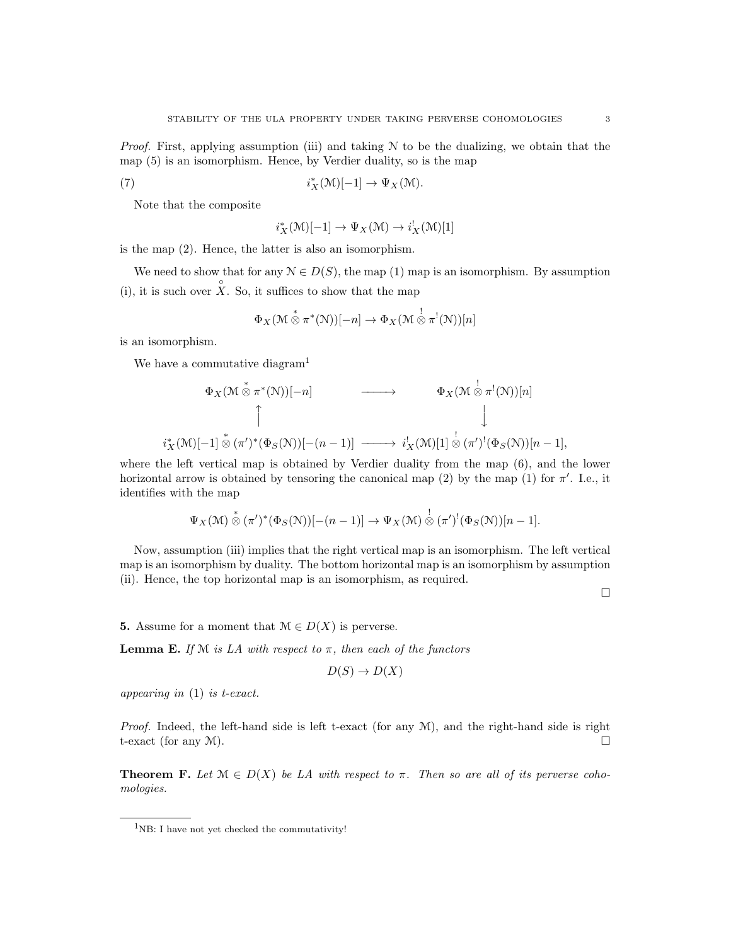*Proof.* First, applying assumption (iii) and taking  $N$  to be the dualizing, we obtain that the map (5) is an isomorphism. Hence, by Verdier duality, so is the map

(7) 
$$
i_X^*(\mathcal{M})[-1] \to \Psi_X(\mathcal{M}).
$$

Note that the composite

$$
i_X^*(\mathcal{M})[-1] \to \Psi_X(\mathcal{M}) \to i_X^!(\mathcal{M})[1]
$$

is the map (2). Hence, the latter is also an isomorphism.

We need to show that for any  $\mathcal{N} \in D(S)$ , the map (1) map is an isomorphism. By assumption (i), it is such over  $\hat{X}$ . So, it suffices to show that the map

$$
\Phi_X(\mathcal{M}\overset{*}{\otimes}\pi^*(\mathcal{N}))[-n]\to\Phi_X(\mathcal{M}\overset{!}{\otimes}\pi^!(\mathcal{N}))[n]
$$

is an isomorphism.

We have a commutative diagram<sup>1</sup>

$$
\Phi_X(\mathcal{M} \overset{*}{\otimes} \pi^*(\mathcal{N}))[-n] \longrightarrow \Phi_X(\mathcal{M} \overset{\mathbf{1}}{\otimes} \pi^!(\mathcal{N}))[n]
$$
\n
$$
\uparrow \qquad \qquad \downarrow
$$
\n
$$
i_X^*(\mathcal{M})[-1] \overset{*}{\otimes} (\pi')^*(\Phi_S(\mathcal{N}))[-(n-1)] \longrightarrow i_X^!(\mathcal{M})[1] \overset{\mathbf{1}}{\otimes} (\pi')^!(\Phi_S(\mathcal{N}))[n-1],
$$

where the left vertical map is obtained by Verdier duality from the map (6), and the lower horizontal arrow is obtained by tensoring the canonical map (2) by the map (1) for  $\pi'$ . I.e., it identifies with the map

$$
\Psi_X(\mathcal{M}) \overset{*}{\otimes} (\pi')^*(\Phi_S(\mathcal{N}))[-(n-1)] \to \Psi_X(\mathcal{M}) \overset{!}{\otimes} (\pi')^!(\Phi_S(\mathcal{N}))[n-1].
$$

Now, assumption (iii) implies that the right vertical map is an isomorphism. The left vertical map is an isomorphism by duality. The bottom horizontal map is an isomorphism by assumption (ii). Hence, the top horizontal map is an isomorphism, as required.

 $\Box$ 

5. Assume for a moment that  $\mathcal{M} \in D(X)$  is perverse.

**Lemma E.** If  $M$  is LA with respect to  $\pi$ , then each of the functors

$$
D(S) \to D(X)
$$

appearing in (1) is t-exact.

*Proof.* Indeed, the left-hand side is left t-exact (for any  $\mathcal{M}$ ), and the right-hand side is right t-exact (for any  $M$ ).

**Theorem F.** Let  $\mathcal{M} \in D(X)$  be LA with respect to  $\pi$ . Then so are all of its perverse cohomologies.

 $1$ <sub>NB</sub>: I have not yet checked the commutativity!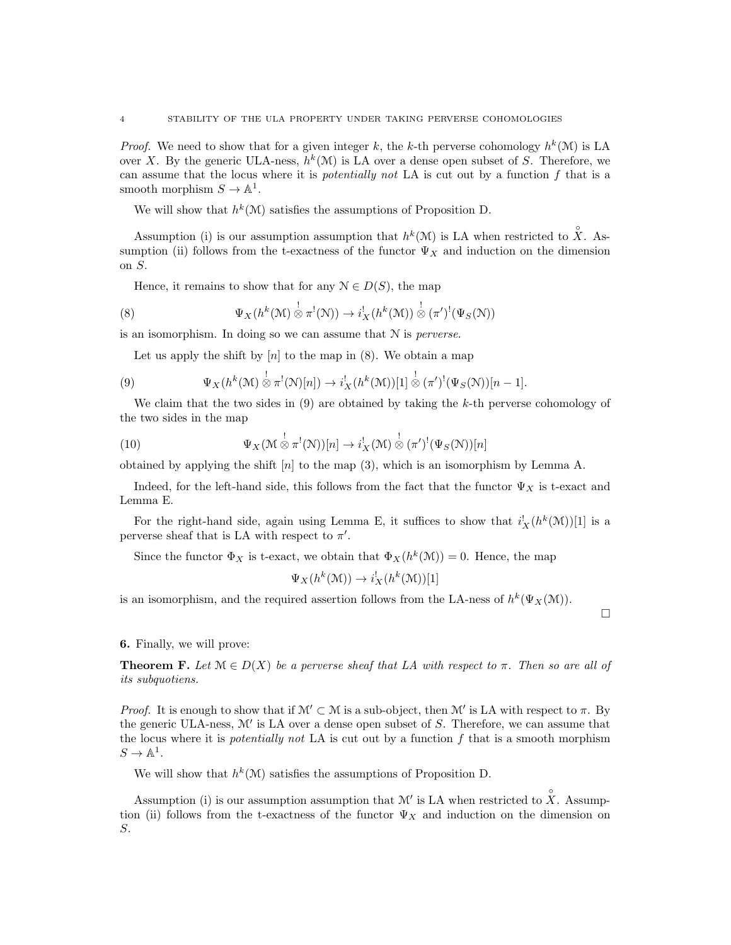*Proof.* We need to show that for a given integer k, the k-th perverse cohomology  $h^k(\mathcal{M})$  is LA over X. By the generic ULA-ness,  $h^k(\mathcal{M})$  is LA over a dense open subset of S. Therefore, we can assume that the locus where it is potentially not LA is cut out by a function f that is a smooth morphism  $S \to \mathbb{A}^1$ .

We will show that  $h^k(\mathcal{M})$  satisfies the assumptions of Proposition D.

Assumption (i) is our assumption assumption that  $h^k(\mathcal{M})$  is LA when restricted to  $\hat{X}$ . Assumption (ii) follows from the t-exactness of the functor  $\Psi_X$  and induction on the dimension on S.

Hence, it remains to show that for any  $\mathcal{N} \in D(S)$ , the map

(8) 
$$
\Psi_X(h^k(\mathcal{M}) \overset{!}{\otimes} \pi^!(\mathcal{N})) \to i_X^!(h^k(\mathcal{M})) \overset{!}{\otimes} (\pi')^!(\Psi_S(\mathcal{N}))
$$

is an isomorphism. In doing so we can assume that N is perverse.

Let us apply the shift by  $[n]$  to the map in  $(8)$ . We obtain a map

(9) 
$$
\Psi_X(h^k(\mathcal{M}) \overset{!}{\otimes} \pi^!(\mathcal{N})[n]) \to i_X^!(h^k(\mathcal{M}))[1] \overset{!}{\otimes} (\pi')^!(\Psi_S(\mathcal{N}))[n-1].
$$

We claim that the two sides in  $(9)$  are obtained by taking the k-th perverse cohomology of the two sides in the map

(10) 
$$
\Psi_X(\mathcal{M} \overset{!}{\otimes} \pi^!(\mathcal{N}))[n] \to i_X^!(\mathcal{M}) \overset{!}{\otimes} (\pi')^!(\Psi_S(\mathcal{N}))[n]
$$

obtained by applying the shift  $[n]$  to the map (3), which is an isomorphism by Lemma A.

Indeed, for the left-hand side, this follows from the fact that the functor  $\Psi_X$  is t-exact and Lemma E.

For the right-hand side, again using Lemma E, it suffices to show that  $i_X^!(h^k(\mathcal{M}))[1]$  is a perverse sheaf that is LA with respect to  $\pi'$ .

Since the functor  $\Phi_X$  is t-exact, we obtain that  $\Phi_X(h^k(\mathcal{M})) = 0$ . Hence, the map

$$
\Psi_X(h^k(\mathcal{M})) \to i_X^!(h^k(\mathcal{M}))[1]
$$

is an isomorphism, and the required assertion follows from the LA-ness of  $h^k(\Psi_X(\mathcal{M}))$ .

 $\Box$ 

## 6. Finally, we will prove:

**Theorem F.** Let  $\mathcal{M} \in D(X)$  be a perverse sheaf that LA with respect to  $\pi$ . Then so are all of its subquotiens.

*Proof.* It is enough to show that if  $\mathcal{M}' \subset \mathcal{M}$  is a sub-object, then  $\mathcal{M}'$  is LA with respect to  $\pi$ . By the generic ULA-ness,  $\mathcal{M}'$  is LA over a dense open subset of  $S$ . Therefore, we can assume that the locus where it is *potentially not* LA is cut out by a function  $f$  that is a smooth morphism  $S \to \mathbb{A}^1$ .

We will show that  $h^k(\mathcal{M})$  satisfies the assumptions of Proposition D.

Assumption (i) is our assumption assumption that  $\mathcal{M}'$  is LA when restricted to  $\hat{X}$ . Assumption (ii) follows from the t-exactness of the functor  $\Psi_X$  and induction on the dimension on S.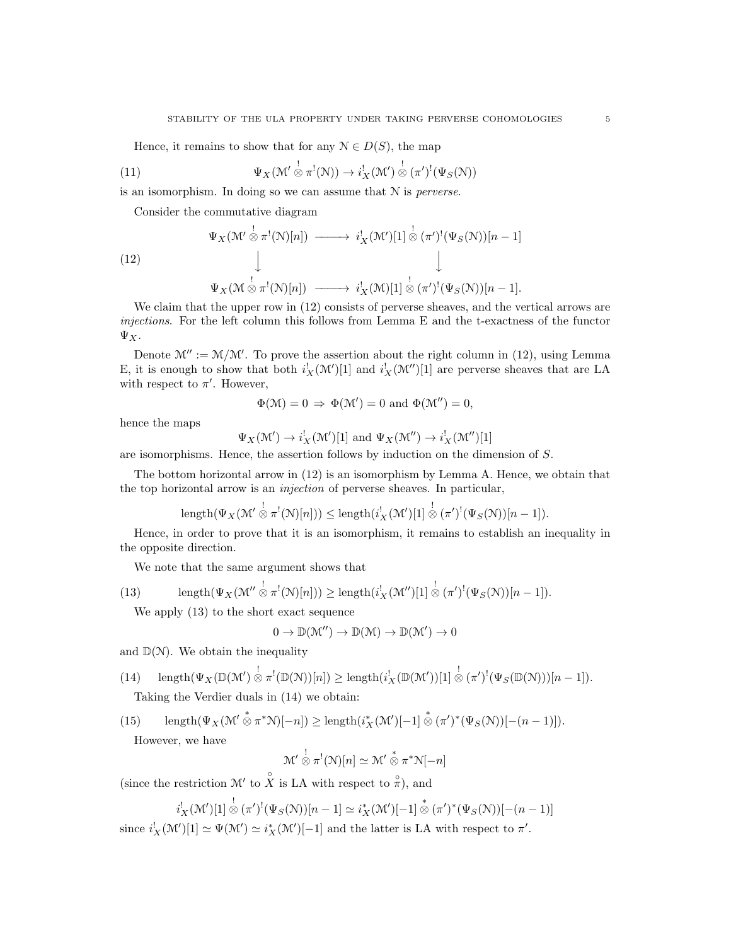Hence, it remains to show that for any  $\mathcal{N} \in D(S)$ , the map

(11) 
$$
\Psi_X(\mathcal{M}' \overset{!}{\otimes} \pi^!(\mathcal{N})) \to i_X^!(\mathcal{M}') \overset{!}{\otimes} (\pi')^!(\Psi_S(\mathcal{N}))
$$

is an isomorphism. In doing so we can assume that N is perverse.

Consider the commutative diagram

(12)  
\n
$$
\Psi_X(\mathcal{M}' \stackrel{\mathbf{1}}{\otimes} \pi^!(\mathcal{N})[n]) \longrightarrow i_X^!(\mathcal{M}')[1] \stackrel{\mathbf{1}}{\otimes} (\pi')^!(\Psi_S(\mathcal{N}))[n-1]
$$
\n
$$
\downarrow \qquad \qquad \downarrow
$$
\n
$$
\Psi_X(\mathcal{M} \stackrel{\mathbf{1}}{\otimes} \pi^!(\mathcal{N})[n]) \longrightarrow i_X^!(\mathcal{M})[1] \stackrel{\mathbf{1}}{\otimes} (\pi')^!(\Psi_S(\mathcal{N}))[n-1].
$$

We claim that the upper row in  $(12)$  consists of perverse sheaves, and the vertical arrows are injections. For the left column this follows from Lemma E and the t-exactness of the functor  $\Psi_X$ .

Denote  $\mathcal{M}'' := \mathcal{M}/\mathcal{M}'$ . To prove the assertion about the right column in (12), using Lemma E, it is enough to show that both  $i_X^!(\mathcal{M}^\prime)[1]$  and  $i_X^!(\mathcal{M}^{\prime\prime})[1]$  are perverse sheaves that are LA with respect to  $\pi'$ . However,

$$
\Phi(\mathcal{M}) = 0 \Rightarrow \Phi(\mathcal{M}') = 0 \text{ and } \Phi(\mathcal{M}'') = 0,
$$

hence the maps

$$
\Psi_X(\mathcal{M}') \to i_X^!(\mathcal{M}')[1]
$$
 and  $\Psi_X(\mathcal{M}'') \to i_X^!(\mathcal{M}'')[1]$ 

are isomorphisms. Hence, the assertion follows by induction on the dimension of S.

The bottom horizontal arrow in (12) is an isomorphism by Lemma A. Hence, we obtain that the top horizontal arrow is an injection of perverse sheaves. In particular,

length
$$
(\Psi_X(\mathcal{M}' \overset{!}{\otimes} \pi^!(\mathcal{N})[n])) \leq \text{length}(i_X^!(\mathcal{M}')[1] \overset{!}{\otimes} (\pi')^!(\Psi_S(\mathcal{N}))[n-1]).
$$

Hence, in order to prove that it is an isomorphism, it remains to establish an inequality in the opposite direction.

We note that the same argument shows that

(13) 
$$
\operatorname{length}(\Psi_X(\mathcal{M}''\overset{!}{\otimes}\pi^!(\mathcal{N})[n])) \geq \operatorname{length}(i_X^!(\mathcal{M}'')[1]\overset{!}{\otimes}(\pi')^!(\Psi_S(\mathcal{N}))[n-1]).
$$

We apply (13) to the short exact sequence

$$
0\to \mathbb{D}(\mathcal{M}'')\to \mathbb{D}(\mathcal{M})\to \mathbb{D}(\mathcal{M}')\to 0
$$

and  $\mathbb{D}(\mathcal{N})$ . We obtain the inequality

(14) 
$$
\text{length}(\Psi_X(\mathbb{D}(\mathcal{M})) \overset{!}{\otimes} \pi^!(\mathbb{D}(\mathcal{N}))[n]) \geq \text{length}(i_X^!(\mathbb{D}(\mathcal{M}'))[1] \overset{!}{\otimes} (\pi')^!(\Psi_S(\mathbb{D}(\mathcal{N})))[n-1]).
$$
 Taking the Verdier duals in (14) we obtain:

(15) 
$$
\operatorname{length}(\Psi_X(\mathcal{M}' \overset{*}{\otimes} \pi^* \mathcal{N})[-n]) \geq \operatorname{length}(i_X^*(\mathcal{M}')[-1] \overset{*}{\otimes} (\pi')^*(\Psi_S(\mathcal{N}))[-(n-1)]).
$$
 However, we have

$$
\mathcal{M}' \overset{!}{\otimes} \pi^{!}(\mathcal{N})[n] \simeq \mathcal{M}' \overset{*}{\otimes} \pi^{*}\mathcal{N}[-n]
$$

(since the restriction  $\mathcal{M}'$  to  $\hat{X}$  is LA with respect to  $\hat{\pi}$ ), and

$$
i_X^!(\mathcal{M}')[1] \overset{!}{\otimes} (\pi')^!(\Psi_S(\mathcal{N}))[n-1] \simeq i_X^*(\mathcal{M}')[-1] \overset{*}{\otimes} (\pi')^*(\Psi_S(\mathcal{N}))[-(n-1)]
$$

since  $i_X^! (\mathcal{M}^\prime) [1] \simeq \Psi(\mathcal{M}^\prime) \simeq i_X^* (\mathcal{M}^\prime) [-1]$  and the latter is LA with respect to  $\pi^\prime$ .